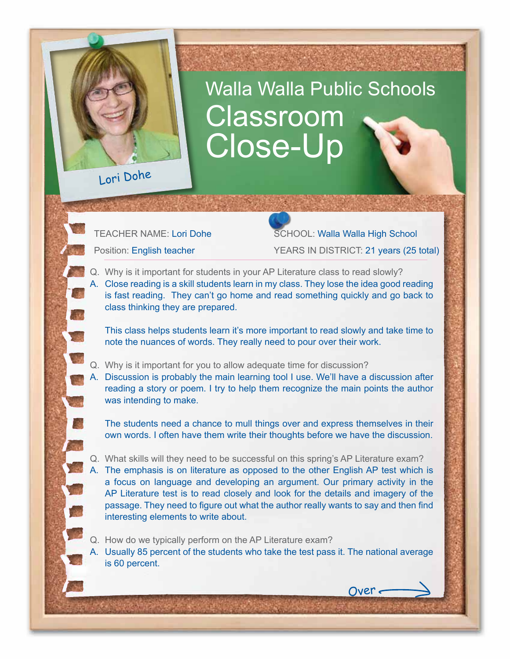## Walla Walla Public Schools Classroom Close-Up

Lori Dohe

TEACHER NAME: Lori Dohe SCHOOL: Walla Walla High School Position: English teacher YEARS IN DISTRICT: 21 years (25 total)

Over

- Q. Why is it important for students in your AP Literature class to read slowly?
- A. Close reading is a skill students learn in my class. They lose the idea good reading is fast reading. They can't go home and read something quickly and go back to class thinking they are prepared.

This class helps students learn it's more important to read slowly and take time to note the nuances of words. They really need to pour over their work.

- Q. Why is it important for you to allow adequate time for discussion?
- A. Discussion is probably the main learning tool I use. We'll have a discussion after reading a story or poem. I try to help them recognize the main points the author was intending to make.

The students need a chance to mull things over and express themselves in their own words. I often have them write their thoughts before we have the discussion.

- Q. What skills will they need to be successful on this spring's AP Literature exam? A. The emphasis is on literature as opposed to the other English AP test which is a focus on language and developing an argument. Our primary activity in the AP Literature test is to read closely and look for the details and imagery of the passage. They need to figure out what the author really wants to say and then find interesting elements to write about.
- Q. How do we typically perform on the AP Literature exam?

A. Usually 85 percent of the students who take the test pass it. The national average is 60 percent.